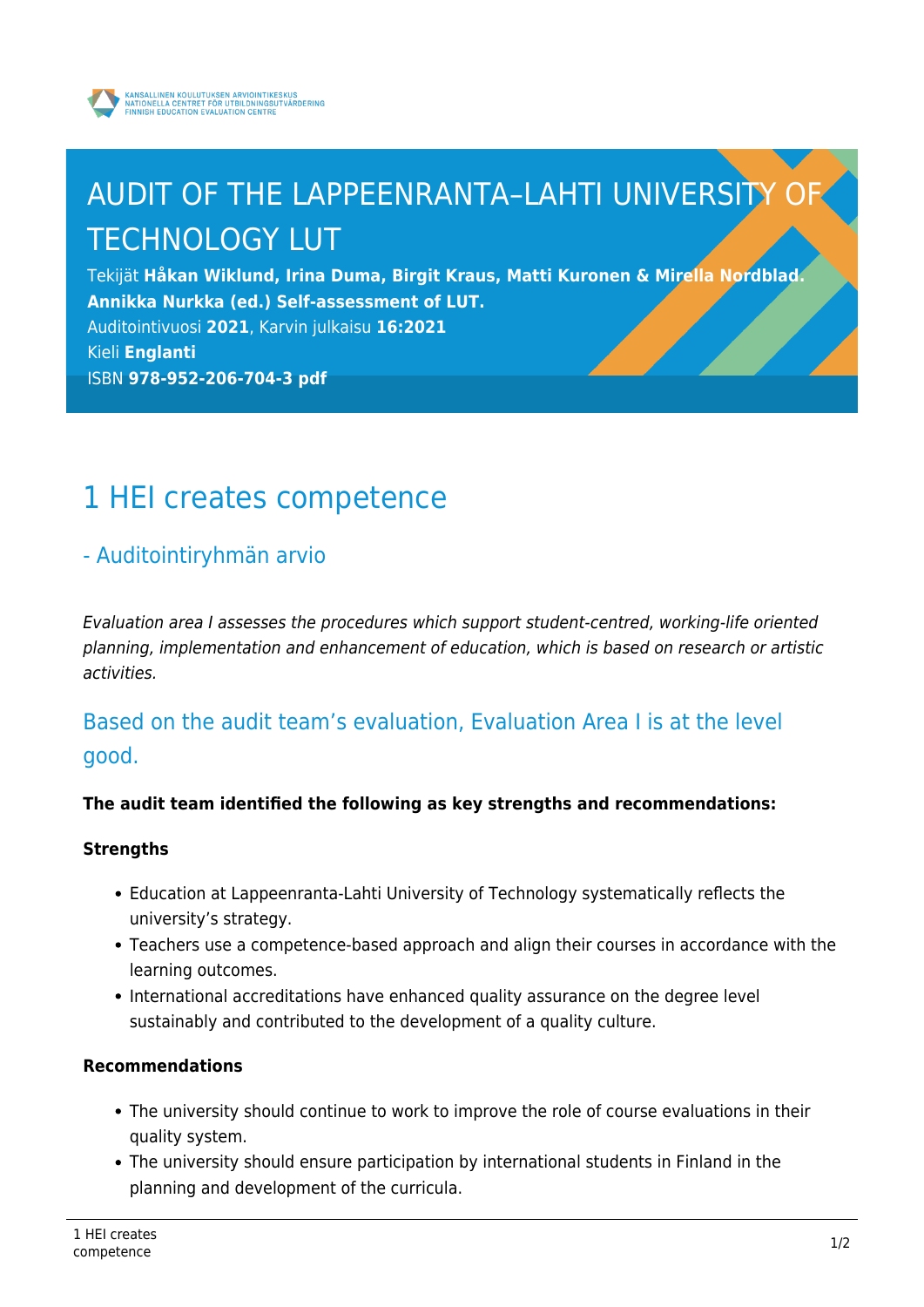

# AUDIT OF THE LAPPEENRANTA–LAHTI UNIVERSITY OF TECHNOLOGY LUT

Tekijät **Håkan Wiklund, Irina Duma, Birgit Kraus, Matti Kuronen & Mirella Nordblad. Annikka Nurkka (ed.) Self-assessment of LUT.**

Auditointivuosi **2021**, Karvin julkaisu **16:2021**

```
Kieli Englanti
```
ISBN **978-952-206-704-3 pdf**

# 1 HEI creates competence

## - Auditointiryhmän arvio

Evaluation area I assesses the procedures which support student-centred, working-life oriented planning, implementation and enhancement of education, which is based on research or artistic activities.

Based on the audit team's evaluation, Evaluation Area I is at the level good.

### **The audit team identified the following as key strengths and recommendations:**

### **Strengths**

- Education at Lappeenranta-Lahti University of Technology systematically reflects the university's strategy.
- Teachers use a competence-based approach and align their courses in accordance with the learning outcomes.
- International accreditations have enhanced quality assurance on the degree level sustainably and contributed to the development of a quality culture.

### **Recommendations**

- The university should continue to work to improve the role of course evaluations in their quality system.
- The university should ensure participation by international students in Finland in the planning and development of the curricula.